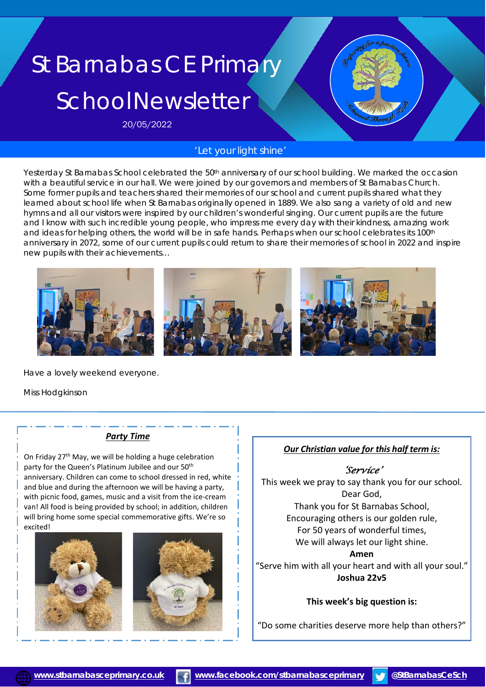# St Barnabas CE Primary SchoolNewsletter

20/05/2022

### *'Let your light shine'*

Yesterday St Barnabas School celebrated the 50<sup>th</sup> anniversary of our school building. We marked the occasion with a beautiful service in our hall. We were joined by our governors and members of St Barnabas Church. Some former pupils and teachers shared their memories of our school and current pupils shared what they learned about school life when St Barnabas originally opened in 1889. We also sang a variety of old and new hymns and all our visitors were inspired by our children's wonderful singing. Our current pupils are the future and I know with such incredible young people, who impress me every day with their kindness, amazing work and ideas for helping others, the world will be in safe hands. Perhaps when our school celebrates its 100<sup>th</sup> anniversary in 2072, some of our current pupils could return to share their memories of school in 2022 and inspire new pupils with their achievements…



Have a lovely weekend everyone.

Miss Hodgkinson

#### *Party Time*

On Friday 27<sup>th</sup> May, we will be holding a huge celebration party for the Queen's Platinum Jubilee and our 50<sup>th</sup> anniversary. Children can come to school dressed in red, white and blue and during the afternoon we will be having a party, with picnic food, games, music and a visit from the ice-cream van! All food is being provided by school; in addition, children will bring home some special commemorative gifts. We're so excited!





#### *Our Christian value for this half term is:*

*'Service'*

This week we pray to say thank you for our school. Dear God, Thank you for St Barnabas School, Encouraging others is our golden rule, For 50 years of wonderful times, We will always let our light shine. **Amen** "Serve him with all your heart and with all your soul."

**Joshua 22v5**

#### **This week's big question is:**

"Do some charities deserve more help than others?"

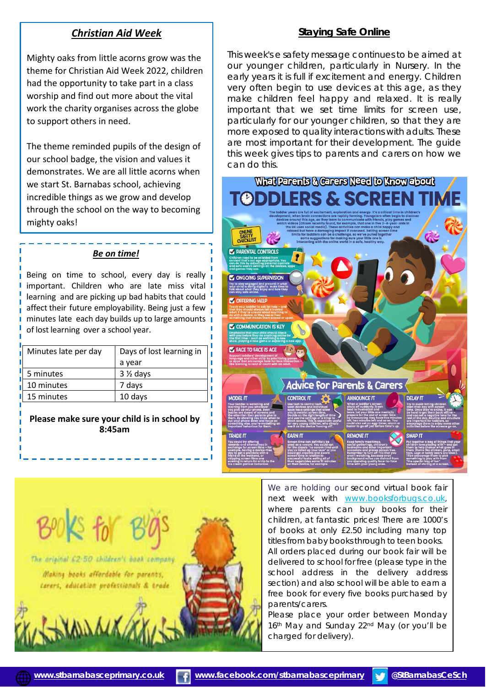## *Christian Aid Week*

Mighty oaks from little acorns grow was the theme for Christian Aid Week 2022, children had the opportunity to take part in a class worship and find out more about the vital work the charity organises across the globe to support others in need.

The theme reminded pupils of the design of our school badge, the vision and values it demonstrates. We are all little acorns when we start St. Barnabas school, achieving incredible things as we grow and develop through the school on the way to becoming mighty oaks!

#### *Be on time!*

Being on time to school, every day is really important. Children who are late miss vital learning and are picking up bad habits that could affect their future employability. Being just a few  $\frac{1}{1}$ minutes late each day builds up to large amounts | of lost learning over a school year.

| Minutes late per day | Days of lost learning in |
|----------------------|--------------------------|
|                      | a year                   |
| 5 minutes            | $3\frac{1}{2}$ days      |
| 10 minutes           | 7 days                   |
| 15 minutes           | 10 days                  |

**Please make sure your child is in school by 8:45am**

## *Staying Safe Online*

This week's e safety message continues to be aimed at our younger children, particularly in Nursery. In the early years it is full if excitement and energy. Children very often begin to use devices at this age, as they make children feel happy and relaxed. It is really important that we set time limits for screen use, particularly for our younger children, so that they are more exposed to quality interactions with adults. These are most important for their development. The guide this week gives tips to parents and carers on how we can do this.



The ariainal £2.50 children's book company Making books affordable for parents, carers, education professionals & trade

We are holding our second virtual book fair next week with [www.booksforbugs.co.uk,](http://www.booksforbugs.co.uk/) where parents can buy books for their children, at fantastic prices! There are 1000's of books at only £2.50 including many top titles from baby books through to teen books. All orders placed during our book fair will be delivered to school for free (please type in the school address in the delivery address section) and also school will be able to earn a free book for every five books purchased by parents/carers.

Please place your order between Monday 16th May and Sunday 22nd May (or you'll be charged for delivery).